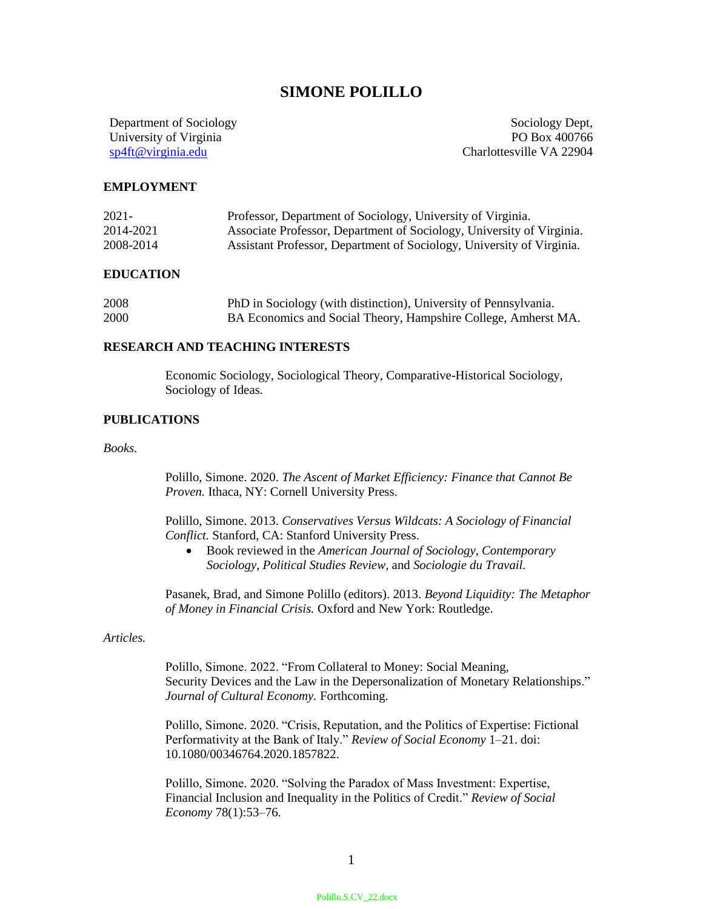# **SIMONE POLILLO**

Department of Sociology University of Virginia sp4ft@virginia.edu

Sociology Dept, PO Box 400766 Charlottesville VA 22904

#### **EMPLOYMENT**

| 2021-     | Professor, Department of Sociology, University of Virginia.           |
|-----------|-----------------------------------------------------------------------|
| 2014-2021 | Associate Professor, Department of Sociology, University of Virginia. |
| 2008-2014 | Assistant Professor, Department of Sociology, University of Virginia. |

#### **EDUCATION**

| 2008 | PhD in Sociology (with distinction), University of Pennsylvania. |
|------|------------------------------------------------------------------|
| 2000 | BA Economics and Social Theory, Hampshire College, Amherst MA.   |

## **RESEARCH AND TEACHING INTERESTS**

Economic Sociology, Sociological Theory, Comparative-Historical Sociology, Sociology of Ideas.

## **PUBLICATIONS**

*Books.*

Polillo, Simone. 2020. *The Ascent of Market Efficiency: Finance that Cannot Be Proven.* Ithaca, NY: Cornell University Press.

Polillo, Simone. 2013. *Conservatives Versus Wildcats: A Sociology of Financial Conflict.* Stanford, CA: Stanford University Press.

 Book reviewed in the *American Journal of Sociology*, *Contemporary Sociology*, *Political Studies Review,* and *Sociologie du Travail.*

Pasanek, Brad, and Simone Polillo (editors). 2013. *Beyond Liquidity: The Metaphor of Money in Financial Crisis.* Oxford and New York: Routledge.

# *Articles.*

Polillo, Simone. 2022. "From Collateral to Money: Social Meaning, Security Devices and the Law in the Depersonalization of Monetary Relationships." *Journal of Cultural Economy.* Forthcoming.

Polillo, Simone. 2020. "Crisis, Reputation, and the Politics of Expertise: Fictional Performativity at the Bank of Italy." *Review of Social Economy* 1–21. doi: 10.1080/00346764.2020.1857822.

Polillo, Simone. 2020. "Solving the Paradox of Mass Investment: Expertise, Financial Inclusion and Inequality in the Politics of Credit." *Review of Social Economy* 78(1):53–76.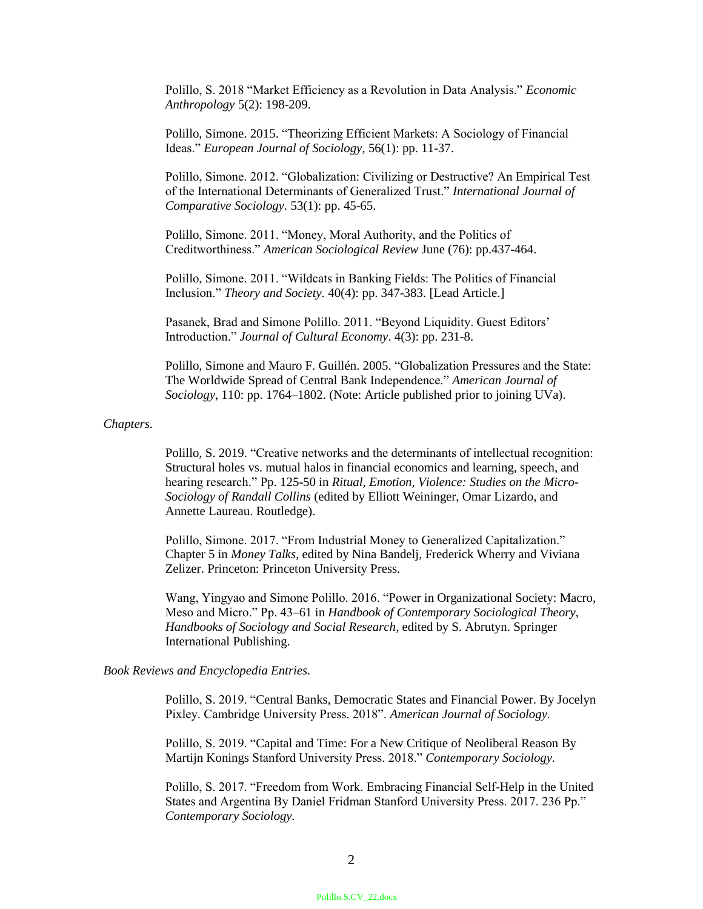Polillo, S. 2018 "Market Efficiency as a Revolution in Data Analysis." *Economic Anthropology* 5(2): 198-209.

Polillo, Simone. 2015. "Theorizing Efficient Markets: A Sociology of Financial Ideas." *European Journal of Sociology*, 56(1): pp. 11-37.

Polillo, Simone. 2012. "Globalization: Civilizing or Destructive? An Empirical Test of the International Determinants of Generalized Trust." *International Journal of Comparative Sociology.* 53(1): pp. 45-65.

Polillo, Simone. 2011. "Money, Moral Authority, and the Politics of Creditworthiness." *American Sociological Review* June (76): pp.437-464.

Polillo, Simone. 2011. "Wildcats in Banking Fields: The Politics of Financial Inclusion." *Theory and Society.* 40(4): pp. 347-383. [Lead Article.]

Pasanek, Brad and Simone Polillo. 2011. "Beyond Liquidity. Guest Editors' Introduction." *Journal of Cultural Economy*. 4(3): pp. 231-8.

Polillo, Simone and Mauro F. Guillén. 2005. "Globalization Pressures and the State: The Worldwide Spread of Central Bank Independence." *American Journal of Sociology*, 110: pp. 1764–1802. (Note: Article published prior to joining UVa).

#### *Chapters.*

Polillo, S. 2019. "Creative networks and the determinants of intellectual recognition: Structural holes vs. mutual halos in financial economics and learning, speech, and hearing research." Pp. 125-50 in *Ritual, Emotion, Violence: Studies on the Micro-Sociology of Randall Collins* (edited by Elliott Weininger, Omar Lizardo, and Annette Laureau. Routledge).

Polillo, Simone. 2017. "From Industrial Money to Generalized Capitalization." Chapter 5 in *Money Talks*, edited by Nina Bandelj, Frederick Wherry and Viviana Zelizer. Princeton: Princeton University Press.

Wang, Yingyao and Simone Polillo. 2016. "Power in Organizational Society: Macro, Meso and Micro." Pp. 43–61 in *Handbook of Contemporary Sociological Theory*, *Handbooks of Sociology and Social Research*, edited by S. Abrutyn. Springer International Publishing.

## *Book Reviews and Encyclopedia Entries.*

Polillo, S. 2019. "Central Banks, Democratic States and Financial Power. By Jocelyn Pixley. Cambridge University Press. 2018". *American Journal of Sociology.*

Polillo, S. 2019. "Capital and Time: For a New Critique of Neoliberal Reason By Martijn Konings Stanford University Press. 2018." *Contemporary Sociology.*

Polillo, S. 2017. "Freedom from Work. Embracing Financial Self-Help in the United States and Argentina By Daniel Fridman Stanford University Press. 2017. 236 Pp." *Contemporary Sociology.*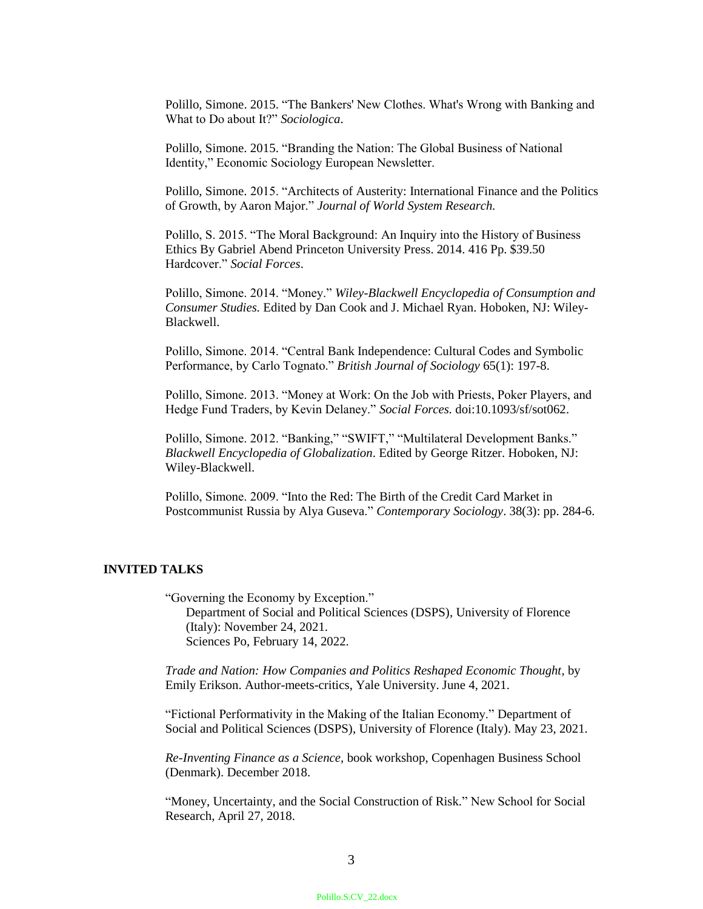Polillo, Simone. 2015. "The Bankers' New Clothes. What's Wrong with Banking and What to Do about It?" *Sociologica*.

Polillo, Simone. 2015. "Branding the Nation: The Global Business of National Identity," Economic Sociology European Newsletter.

Polillo, Simone. 2015. "Architects of Austerity: International Finance and the Politics of Growth, by Aaron Major." *Journal of World System Research.* 

Polillo, S. 2015. "The Moral Background: An Inquiry into the History of Business Ethics By Gabriel Abend Princeton University Press. 2014. 416 Pp. \$39.50 Hardcover." *Social Forces*.

Polillo, Simone. 2014. "Money." *Wiley-Blackwell Encyclopedia of Consumption and Consumer Studies.* Edited by Dan Cook and J. Michael Ryan. Hoboken, NJ: Wiley-Blackwell.

Polillo, Simone. 2014. "Central Bank Independence: Cultural Codes and Symbolic Performance, by Carlo Tognato." *British Journal of Sociology* 65(1): 197-8.

Polillo, Simone. 2013. "Money at Work: On the Job with Priests, Poker Players, and Hedge Fund Traders, by Kevin Delaney." *Social Forces.* doi:10.1093/sf/sot062.

Polillo, Simone. 2012. "Banking," "SWIFT," "Multilateral Development Banks." *Blackwell Encyclopedia of Globalization*. Edited by George Ritzer. Hoboken, NJ: Wiley-Blackwell.

Polillo, Simone. 2009. "Into the Red: The Birth of the Credit Card Market in Postcommunist Russia by Alya Guseva." *Contemporary Sociology*. 38(3): pp. 284-6.

## **INVITED TALKS**

"Governing the Economy by Exception." Department of Social and Political Sciences (DSPS), University of Florence (Italy): November 24, 2021. Sciences Po, February 14, 2022.

*Trade and Nation: How Companies and Politics Reshaped Economic Thought,* by Emily Erikson. Author-meets-critics, Yale University. June 4, 2021.

"Fictional Performativity in the Making of the Italian Economy." Department of Social and Political Sciences (DSPS), University of Florence (Italy). May 23, 2021.

*Re-Inventing Finance as a Science,* book workshop, Copenhagen Business School (Denmark). December 2018.

"Money, Uncertainty, and the Social Construction of Risk." New School for Social Research, April 27, 2018.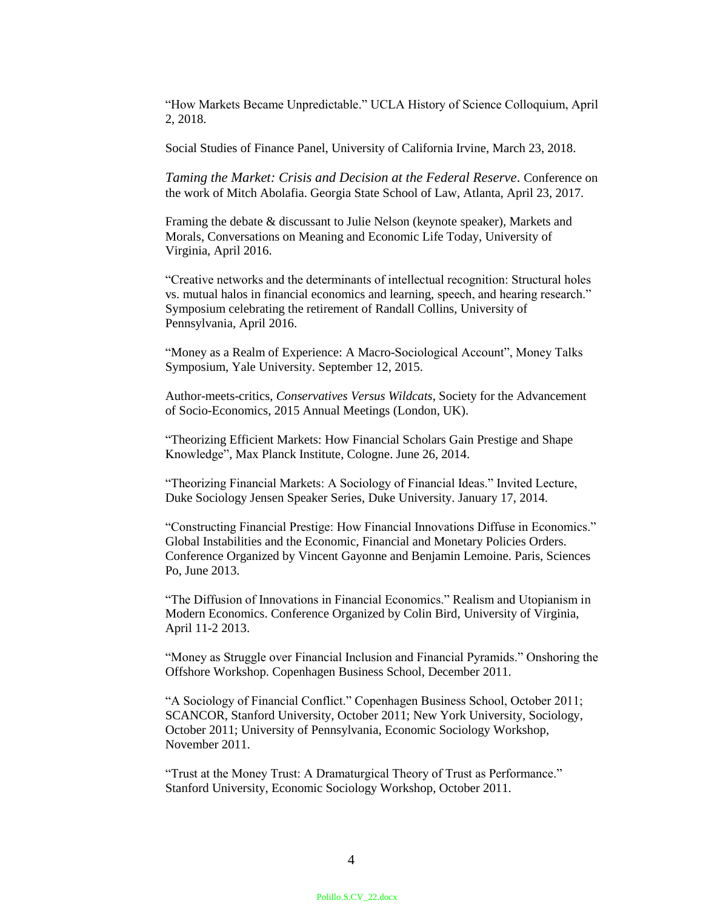"How Markets Became Unpredictable." UCLA History of Science Colloquium, April 2, 2018.

Social Studies of Finance Panel, University of California Irvine, March 23, 2018.

*Taming the Market: Crisis and Decision at the Federal Reserve*. Conference on the work of Mitch Abolafia. Georgia State School of Law, Atlanta, April 23, 2017.

Framing the debate & discussant to Julie Nelson (keynote speaker), Markets and Morals, Conversations on Meaning and Economic Life Today, University of Virginia, April 2016.

"Creative networks and the determinants of intellectual recognition: Structural holes vs. mutual halos in financial economics and learning, speech, and hearing research." Symposium celebrating the retirement of Randall Collins, University of Pennsylvania, April 2016.

"Money as a Realm of Experience: A Macro-Sociological Account", Money Talks Symposium, Yale University. September 12, 2015.

Author-meets-critics, *Conservatives Versus Wildcats*, Society for the Advancement of Socio-Economics, 2015 Annual Meetings (London, UK).

"Theorizing Efficient Markets: How Financial Scholars Gain Prestige and Shape Knowledge", Max Planck Institute, Cologne. June 26, 2014.

"Theorizing Financial Markets: A Sociology of Financial Ideas." Invited Lecture, Duke Sociology Jensen Speaker Series, Duke University. January 17, 2014.

"Constructing Financial Prestige: How Financial Innovations Diffuse in Economics." Global Instabilities and the Economic, Financial and Monetary Policies Orders. Conference Organized by Vincent Gayonne and Benjamin Lemoine. Paris, Sciences Po, June 2013.

"The Diffusion of Innovations in Financial Economics." Realism and Utopianism in Modern Economics. Conference Organized by Colin Bird, University of Virginia, April 11-2 2013.

"Money as Struggle over Financial Inclusion and Financial Pyramids." Onshoring the Offshore Workshop. Copenhagen Business School, December 2011.

"A Sociology of Financial Conflict." Copenhagen Business School, October 2011; SCANCOR, Stanford University, October 2011; New York University, Sociology, October 2011; University of Pennsylvania, Economic Sociology Workshop, November 2011.

"Trust at the Money Trust: A Dramaturgical Theory of Trust as Performance." Stanford University, Economic Sociology Workshop, October 2011.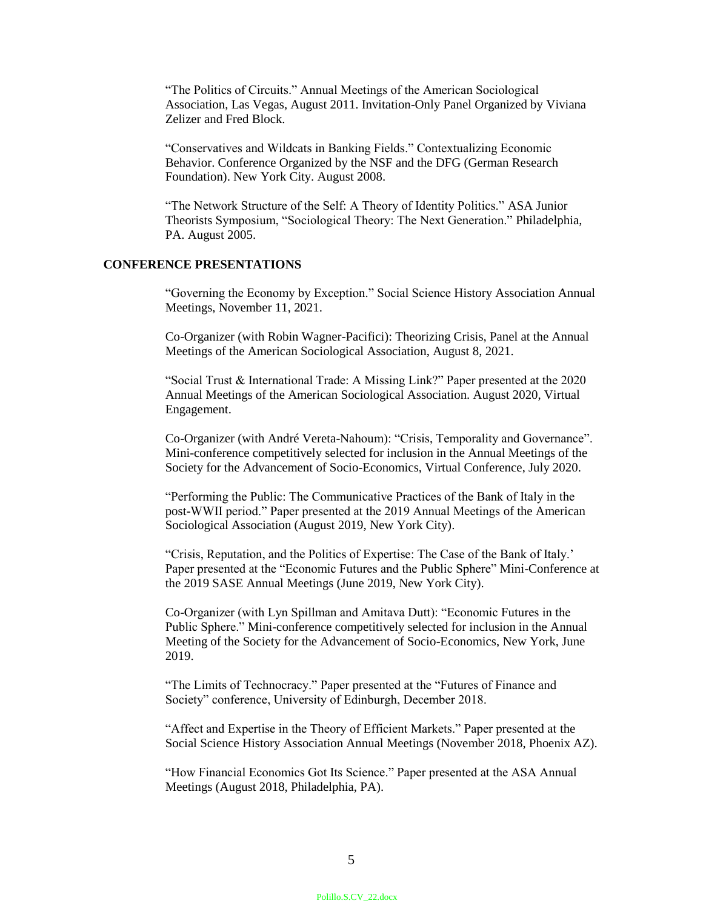"The Politics of Circuits." Annual Meetings of the American Sociological Association, Las Vegas, August 2011. Invitation-Only Panel Organized by Viviana Zelizer and Fred Block.

"Conservatives and Wildcats in Banking Fields." Contextualizing Economic Behavior. Conference Organized by the NSF and the DFG (German Research Foundation). New York City. August 2008.

"The Network Structure of the Self: A Theory of Identity Politics." ASA Junior Theorists Symposium, "Sociological Theory: The Next Generation." Philadelphia, PA. August 2005.

# **CONFERENCE PRESENTATIONS**

"Governing the Economy by Exception." Social Science History Association Annual Meetings, November 11, 2021.

Co-Organizer (with Robin Wagner-Pacifici): Theorizing Crisis, Panel at the Annual Meetings of the American Sociological Association, August 8, 2021.

"Social Trust & International Trade: A Missing Link?" Paper presented at the 2020 Annual Meetings of the American Sociological Association. August 2020, Virtual Engagement.

Co-Organizer (with André Vereta-Nahoum): "Crisis, Temporality and Governance". Mini-conference competitively selected for inclusion in the Annual Meetings of the Society for the Advancement of Socio-Economics, Virtual Conference, July 2020.

"Performing the Public: The Communicative Practices of the Bank of Italy in the post-WWII period." Paper presented at the 2019 Annual Meetings of the American Sociological Association (August 2019, New York City).

"Crisis, Reputation, and the Politics of Expertise: The Case of the Bank of Italy.' Paper presented at the "Economic Futures and the Public Sphere" Mini-Conference at the 2019 SASE Annual Meetings (June 2019, New York City).

Co-Organizer (with Lyn Spillman and Amitava Dutt): "Economic Futures in the Public Sphere." Mini-conference competitively selected for inclusion in the Annual Meeting of the Society for the Advancement of Socio-Economics, New York, June 2019.

"The Limits of Technocracy." Paper presented at the "Futures of Finance and Society" conference, University of Edinburgh, December 2018.

"Affect and Expertise in the Theory of Efficient Markets." Paper presented at the Social Science History Association Annual Meetings (November 2018, Phoenix AZ).

"How Financial Economics Got Its Science." Paper presented at the ASA Annual Meetings (August 2018, Philadelphia, PA).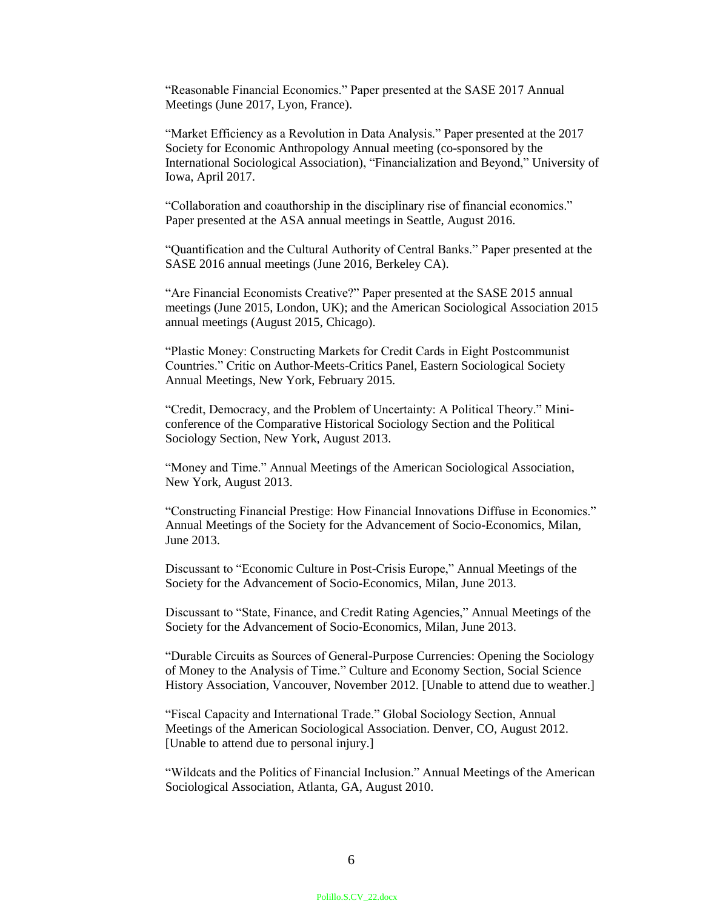"Reasonable Financial Economics." Paper presented at the SASE 2017 Annual Meetings (June 2017, Lyon, France).

"Market Efficiency as a Revolution in Data Analysis." Paper presented at the 2017 Society for Economic Anthropology Annual meeting (co-sponsored by the International Sociological Association), "Financialization and Beyond," University of Iowa, April 2017.

"Collaboration and coauthorship in the disciplinary rise of financial economics." Paper presented at the ASA annual meetings in Seattle, August 2016.

"Quantification and the Cultural Authority of Central Banks." Paper presented at the SASE 2016 annual meetings (June 2016, Berkeley CA).

"Are Financial Economists Creative?" Paper presented at the SASE 2015 annual meetings (June 2015, London, UK); and the American Sociological Association 2015 annual meetings (August 2015, Chicago).

"Plastic Money: Constructing Markets for Credit Cards in Eight Postcommunist Countries." Critic on Author-Meets-Critics Panel, Eastern Sociological Society Annual Meetings, New York, February 2015.

"Credit, Democracy, and the Problem of Uncertainty: A Political Theory." Miniconference of the Comparative Historical Sociology Section and the Political Sociology Section, New York, August 2013.

"Money and Time." Annual Meetings of the American Sociological Association, New York, August 2013.

"Constructing Financial Prestige: How Financial Innovations Diffuse in Economics." Annual Meetings of the Society for the Advancement of Socio-Economics, Milan, June 2013.

Discussant to "Economic Culture in Post-Crisis Europe," Annual Meetings of the Society for the Advancement of Socio-Economics, Milan, June 2013.

Discussant to "State, Finance, and Credit Rating Agencies," Annual Meetings of the Society for the Advancement of Socio-Economics, Milan, June 2013.

"Durable Circuits as Sources of General-Purpose Currencies: Opening the Sociology of Money to the Analysis of Time." Culture and Economy Section, Social Science History Association, Vancouver, November 2012*.* [Unable to attend due to weather.]

"Fiscal Capacity and International Trade." Global Sociology Section, Annual Meetings of the American Sociological Association. Denver, CO, August 2012. [Unable to attend due to personal injury.]

"Wildcats and the Politics of Financial Inclusion." Annual Meetings of the American Sociological Association, Atlanta, GA, August 2010.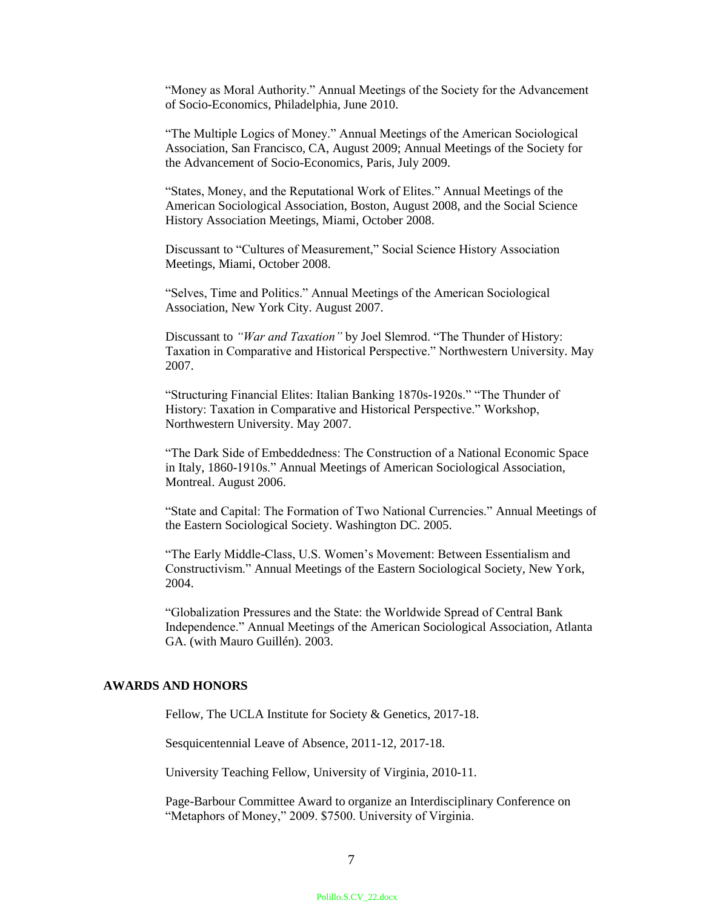"Money as Moral Authority." Annual Meetings of the Society for the Advancement of Socio-Economics, Philadelphia, June 2010.

"The Multiple Logics of Money." Annual Meetings of the American Sociological Association, San Francisco, CA, August 2009; Annual Meetings of the Society for the Advancement of Socio-Economics, Paris, July 2009.

"States, Money, and the Reputational Work of Elites." Annual Meetings of the American Sociological Association, Boston, August 2008, and the Social Science History Association Meetings, Miami, October 2008.

Discussant to "Cultures of Measurement," Social Science History Association Meetings, Miami, October 2008.

"Selves, Time and Politics." Annual Meetings of the American Sociological Association, New York City. August 2007.

Discussant to *"War and Taxation"* by Joel Slemrod. "The Thunder of History: Taxation in Comparative and Historical Perspective." Northwestern University. May 2007.

"Structuring Financial Elites: Italian Banking 1870s-1920s." "The Thunder of History: Taxation in Comparative and Historical Perspective." Workshop, Northwestern University. May 2007.

"The Dark Side of Embeddedness: The Construction of a National Economic Space in Italy, 1860-1910s." Annual Meetings of American Sociological Association, Montreal. August 2006.

"State and Capital: The Formation of Two National Currencies." Annual Meetings of the Eastern Sociological Society. Washington DC. 2005.

"The Early Middle-Class, U.S. Women's Movement: Between Essentialism and Constructivism." Annual Meetings of the Eastern Sociological Society, New York, 2004.

"Globalization Pressures and the State: the Worldwide Spread of Central Bank Independence." Annual Meetings of the American Sociological Association, Atlanta GA. (with Mauro Guillén). 2003.

## **AWARDS AND HONORS**

Fellow, The UCLA Institute for Society & Genetics, 2017-18.

Sesquicentennial Leave of Absence, 2011-12, 2017-18.

University Teaching Fellow, University of Virginia, 2010-11.

Page-Barbour Committee Award to organize an Interdisciplinary Conference on "Metaphors of Money," 2009. \$7500. University of Virginia.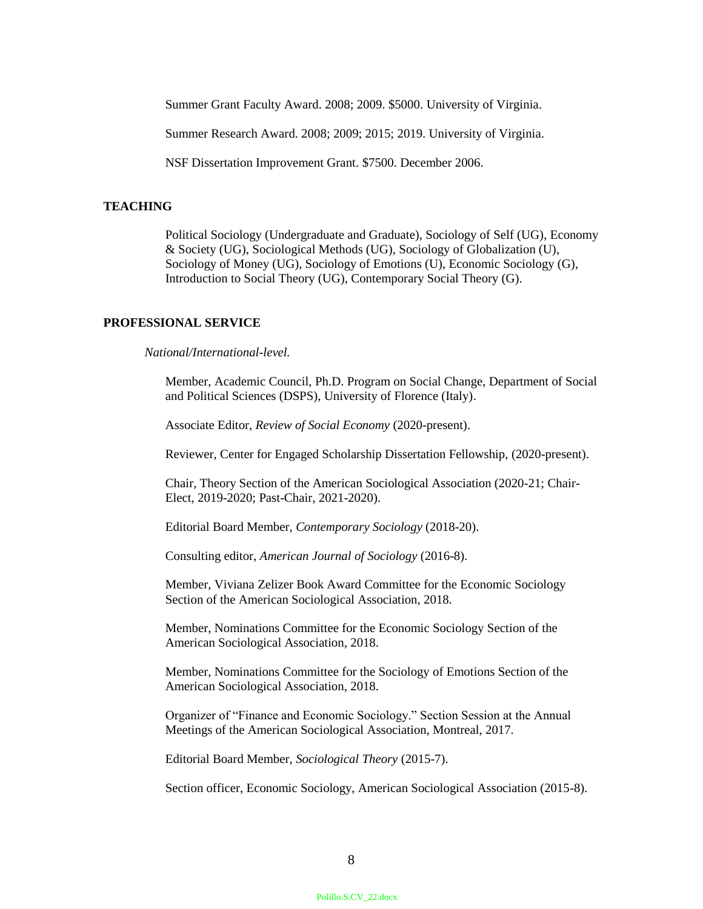Summer Grant Faculty Award. 2008; 2009. \$5000. University of Virginia.

Summer Research Award. 2008; 2009; 2015; 2019. University of Virginia.

NSF Dissertation Improvement Grant. \$7500. December 2006.

#### **TEACHING**

Political Sociology (Undergraduate and Graduate), Sociology of Self (UG), Economy & Society (UG), Sociological Methods (UG), Sociology of Globalization (U), Sociology of Money (UG), Sociology of Emotions (U), Economic Sociology (G), Introduction to Social Theory (UG), Contemporary Social Theory (G).

# **PROFESSIONAL SERVICE**

*National/International-level.*

Member, Academic Council, Ph.D. Program on Social Change, Department of Social and Political Sciences (DSPS), University of Florence (Italy).

Associate Editor, *Review of Social Economy* (2020-present).

Reviewer, Center for Engaged Scholarship Dissertation Fellowship, (2020-present).

Chair, Theory Section of the American Sociological Association (2020-21; Chair-Elect, 2019-2020; Past-Chair, 2021-2020).

Editorial Board Member, *Contemporary Sociology* (2018-20).

Consulting editor, *American Journal of Sociology* (2016-8).

Member, Viviana Zelizer Book Award Committee for the Economic Sociology Section of the American Sociological Association, 2018.

Member, Nominations Committee for the Economic Sociology Section of the American Sociological Association, 2018.

Member, Nominations Committee for the Sociology of Emotions Section of the American Sociological Association, 2018.

Organizer of "Finance and Economic Sociology." Section Session at the Annual Meetings of the American Sociological Association, Montreal, 2017.

Editorial Board Member, *Sociological Theory* (2015-7).

Section officer, Economic Sociology, American Sociological Association (2015-8).